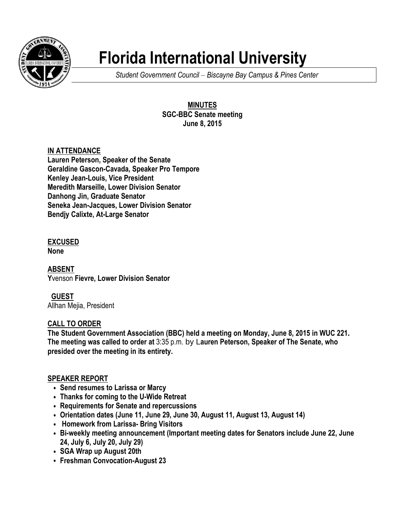

# **Florida International University**

*Student Government Council – Biscayne Bay Campus & Pines Center*

**MINUTES SGC-BBC Senate meeting June 8, 2015**

# **IN ATTENDANCE**

**Lauren Peterson, Speaker of the Senate Geraldine Gascon-Cavada, Speaker Pro Tempore Kenley Jean-Louis, Vice President Meredith Marseille, Lower Division Senator Danhong Jin, Graduate Senator Seneka Jean-Jacques, Lower Division Senator Bendjy Calixte, At-Large Senator**

# **EXCUSED**

**None**

**ABSENT Y**venson **Fievre, Lower Division Senator**

# **GUEST**

Allhan Mejia, President

# **CALL TO ORDER**

**The Student Government Association (BBC) held a meeting on Monday, June 8, 2015 in WUC 221. The meeting was called to order at** 3:35 p.m. by L**auren Peterson, Speaker of The Senate, who presided over the meeting in its entirety.**

# **SPEAKER REPORT**

- **• Send resumes to Larissa or Marcy**
- **• Thanks for coming to the U-Wide Retreat**
- **• Requirements for Senate and repercussions**
- **• Orientation dates (June 11, June 29, June 30, August 11, August 13, August 14)**
- **• Homework from Larissa- Bring Visitors**
- **• Bi-weekly meeting announcement (Important meeting dates for Senators include June 22, June 24, July 6, July 20, July 29)**
- **• SGA Wrap up August 20th**
- **• Freshman Convocation-August 23**